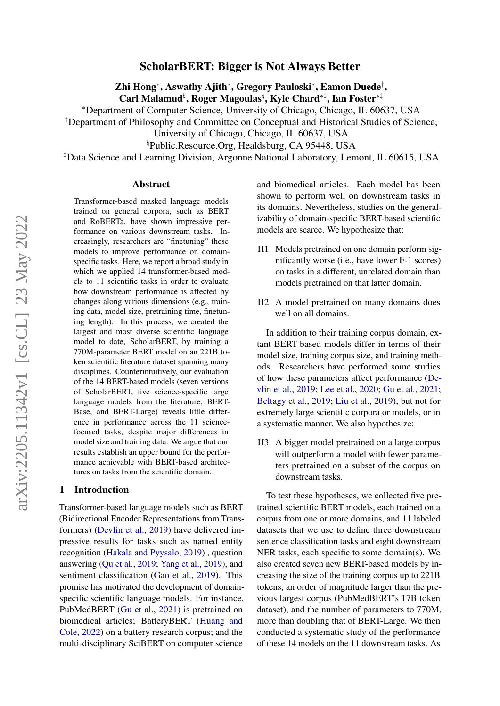# ScholarBERT: Bigger is Not Always Better

Zhi Hong<sup>∗</sup> , Aswathy Ajith<sup>∗</sup> , Gregory Pauloski<sup>∗</sup> , Eamon Duede† , Carl Malamud<sup>‡</sup>, Roger Magoulas<sup>‡</sup>, Kyle Chard<sup>∗‡</sup>, Ian Foster<sup>∗‡</sup>

<sup>∗</sup>Department of Computer Science, University of Chicago, Chicago, IL 60637, USA

†Department of Philosophy and Committee on Conceptual and Historical Studies of Science,

University of Chicago, Chicago, IL 60637, USA

 $\P$ <sup>h</sup>Public.Resource.Org, Healdsburg, CA 95448, USA

‡Data Science and Learning Division, Argonne National Laboratory, Lemont, IL 60615, USA

#### Abstract

Transformer-based masked language models trained on general corpora, such as BERT and RoBERTa, have shown impressive performance on various downstream tasks. Increasingly, researchers are "finetuning" these models to improve performance on domainspecific tasks. Here, we report a broad study in which we applied 14 transformer-based models to 11 scientific tasks in order to evaluate how downstream performance is affected by changes along various dimensions (e.g., training data, model size, pretraining time, finetuning length). In this process, we created the largest and most diverse scientific language model to date, ScholarBERT, by training a 770M-parameter BERT model on an 221B token scientific literature dataset spanning many disciplines. Counterintuitively, our evaluation of the 14 BERT-based models (seven versions of ScholarBERT, five science-specific large language models from the literature, BERT-Base, and BERT-Large) reveals little difference in performance across the 11 sciencefocused tasks, despite major differences in model size and training data. We argue that our results establish an upper bound for the performance achievable with BERT-based architectures on tasks from the scientific domain.

### 1 Introduction

Transformer-based language models such as BERT (Bidirectional Encoder Representations from Transformers) [\(Devlin et al.,](#page-10-0) [2019\)](#page-10-0) have delivered impressive results for tasks such as named entity recognition [\(Hakala and Pyysalo,](#page-11-0) [2019\)](#page-11-0) , question answering [\(Qu et al.,](#page-11-1) [2019;](#page-11-1) [Yang et al.,](#page-12-0) [2019\)](#page-12-0), and sentiment classification [\(Gao et al.,](#page-11-2) [2019\)](#page-11-2). This promise has motivated the development of domainspecific scientific language models. For instance, PubMedBERT [\(Gu et al.,](#page-11-3) [2021\)](#page-11-3) is pretrained on biomedical articles; BatteryBERT [\(Huang and](#page-11-4) [Cole,](#page-11-4) [2022\)](#page-11-4) on a battery research corpus; and the multi-disciplinary SciBERT on computer science and biomedical articles. Each model has been shown to perform well on downstream tasks in its domains. Nevertheless, studies on the generalizability of domain-specific BERT-based scientific models are scarce. We hypothesize that:

- H1. Models pretrained on one domain perform significantly worse (i.e., have lower F-1 scores) on tasks in a different, unrelated domain than models pretrained on that latter domain.
- H2. A model pretrained on many domains does well on all domains.

In addition to their training corpus domain, extant BERT-based models differ in terms of their model size, training corpus size, and training methods. Researchers have performed some studies of how these parameters affect performance [\(De](#page-10-0)[vlin et al.,](#page-10-0) [2019;](#page-10-0) [Lee et al.,](#page-11-5) [2020;](#page-11-5) [Gu et al.,](#page-11-3) [2021;](#page-11-3) [Beltagy et al.,](#page-10-1) [2019;](#page-10-1) [Liu et al.,](#page-11-6) [2019\)](#page-11-6), but not for extremely large scientific corpora or models, or in a systematic manner. We also hypothesize:

H3. A bigger model pretrained on a large corpus will outperform a model with fewer parameters pretrained on a subset of the corpus on downstream tasks.

To test these hypotheses, we collected five pretrained scientific BERT models, each trained on a corpus from one or more domains, and 11 labeled datasets that we use to define three downstream sentence classification tasks and eight downstream NER tasks, each specific to some domain(s). We also created seven new BERT-based models by increasing the size of the training corpus up to 221B tokens, an order of magnitude larger than the previous largest corpus (PubMedBERT's 17B token dataset), and the number of parameters to 770M, more than doubling that of BERT-Large. We then conducted a systematic study of the performance of these 14 models on the 11 downstream tasks. As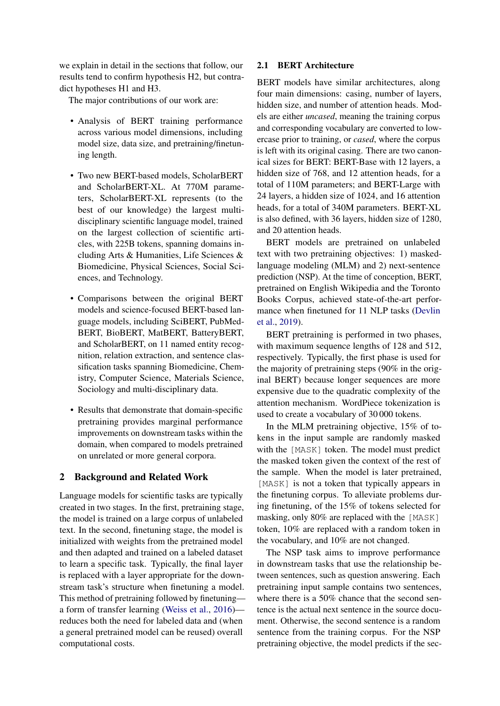we explain in detail in the sections that follow, our results tend to confirm hypothesis H2, but contradict hypotheses H1 and H3.

The major contributions of our work are:

- Analysis of BERT training performance across various model dimensions, including model size, data size, and pretraining/finetuning length.
- Two new BERT-based models, ScholarBERT and ScholarBERT-XL. At 770M parameters, ScholarBERT-XL represents (to the best of our knowledge) the largest multidisciplinary scientific language model, trained on the largest collection of scientific articles, with 225B tokens, spanning domains including Arts & Humanities, Life Sciences & Biomedicine, Physical Sciences, Social Sciences, and Technology.
- Comparisons between the original BERT models and science-focused BERT-based language models, including SciBERT, PubMed-BERT, BioBERT, MatBERT, BatteryBERT, and ScholarBERT, on 11 named entity recognition, relation extraction, and sentence classification tasks spanning Biomedicine, Chemistry, Computer Science, Materials Science, Sociology and multi-disciplinary data.
- Results that demonstrate that domain-specific pretraining provides marginal performance improvements on downstream tasks within the domain, when compared to models pretrained on unrelated or more general corpora.

## 2 Background and Related Work

Language models for scientific tasks are typically created in two stages. In the first, pretraining stage, the model is trained on a large corpus of unlabeled text. In the second, finetuning stage, the model is initialized with weights from the pretrained model and then adapted and trained on a labeled dataset to learn a specific task. Typically, the final layer is replaced with a layer appropriate for the downstream task's structure when finetuning a model. This method of pretraining followed by finetuning a form of transfer learning [\(Weiss et al.,](#page-12-1) [2016\)](#page-12-1) reduces both the need for labeled data and (when a general pretrained model can be reused) overall computational costs.

## <span id="page-1-0"></span>2.1 BERT Architecture

BERT models have similar architectures, along four main dimensions: casing, number of layers, hidden size, and number of attention heads. Models are either *uncased*, meaning the training corpus and corresponding vocabulary are converted to lowercase prior to training, or *cased*, where the corpus is left with its original casing. There are two canonical sizes for BERT: BERT-Base with 12 layers, a hidden size of 768, and 12 attention heads, for a total of 110M parameters; and BERT-Large with 24 layers, a hidden size of 1024, and 16 attention heads, for a total of 340M parameters. BERT-XL is also defined, with 36 layers, hidden size of 1280, and 20 attention heads.

BERT models are pretrained on unlabeled text with two pretraining objectives: 1) maskedlanguage modeling (MLM) and 2) next-sentence prediction (NSP). At the time of conception, BERT, pretrained on English Wikipedia and the Toronto Books Corpus, achieved state-of-the-art performance when finetuned for 11 NLP tasks [\(Devlin](#page-10-0) [et al.,](#page-10-0) [2019\)](#page-10-0).

BERT pretraining is performed in two phases, with maximum sequence lengths of 128 and 512, respectively. Typically, the first phase is used for the majority of pretraining steps (90% in the original BERT) because longer sequences are more expensive due to the quadratic complexity of the attention mechanism. WordPiece tokenization is used to create a vocabulary of 30 000 tokens.

In the MLM pretraining objective, 15% of tokens in the input sample are randomly masked with the [MASK] token. The model must predict the masked token given the context of the rest of the sample. When the model is later pretrained, [MASK] is not a token that typically appears in the finetuning corpus. To alleviate problems during finetuning, of the 15% of tokens selected for masking, only 80% are replaced with the [MASK] token, 10% are replaced with a random token in the vocabulary, and 10% are not changed.

The NSP task aims to improve performance in downstream tasks that use the relationship between sentences, such as question answering. Each pretraining input sample contains two sentences, where there is a 50% chance that the second sentence is the actual next sentence in the source document. Otherwise, the second sentence is a random sentence from the training corpus. For the NSP pretraining objective, the model predicts if the sec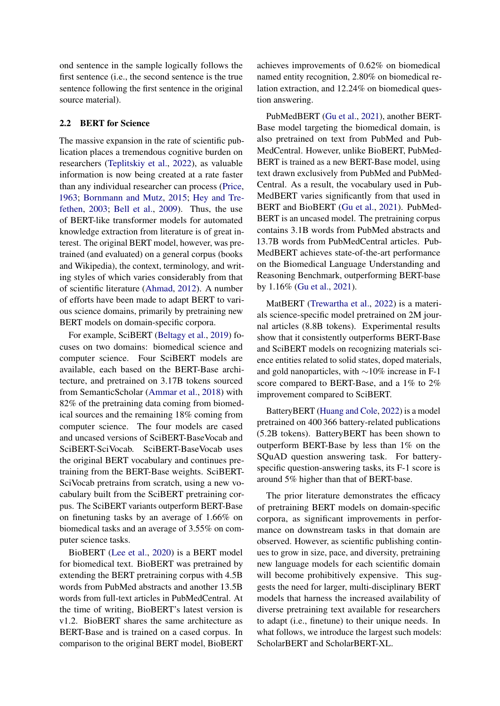ond sentence in the sample logically follows the first sentence (i.e., the second sentence is the true sentence following the first sentence in the original source material).

## 2.2 BERT for Science

The massive expansion in the rate of scientific publication places a tremendous cognitive burden on researchers [\(Teplitskiy et al.,](#page-12-2) [2022\)](#page-12-2), as valuable information is now being created at a rate faster than any individual researcher can process [\(Price,](#page-11-7) [1963;](#page-11-7) [Bornmann and Mutz,](#page-10-2) [2015;](#page-10-2) [Hey and Tre](#page-11-8)[fethen,](#page-11-8) [2003;](#page-11-8) [Bell et al.,](#page-10-3) [2009\)](#page-10-3). Thus, the use of BERT-like transformer models for automated knowledge extraction from literature is of great interest. The original BERT model, however, was pretrained (and evaluated) on a general corpus (books and Wikipedia), the context, terminology, and writing styles of which varies considerably from that of scientific literature [\(Ahmad,](#page-10-4) [2012\)](#page-10-4). A number of efforts have been made to adapt BERT to various science domains, primarily by pretraining new BERT models on domain-specific corpora.

For example, SciBERT [\(Beltagy et al.,](#page-10-1) [2019\)](#page-10-1) focuses on two domains: biomedical science and computer science. Four SciBERT models are available, each based on the BERT-Base architecture, and pretrained on 3.17B tokens sourced from SemanticScholar [\(Ammar et al.,](#page-10-5) [2018\)](#page-10-5) with 82% of the pretraining data coming from biomedical sources and the remaining 18% coming from computer science. The four models are cased and uncased versions of SciBERT-BaseVocab and SciBERT-SciVocab. SciBERT-BaseVocab uses the original BERT vocabulary and continues pretraining from the BERT-Base weights. SciBERT-SciVocab pretrains from scratch, using a new vocabulary built from the SciBERT pretraining corpus. The SciBERT variants outperform BERT-Base on finetuning tasks by an average of 1.66% on biomedical tasks and an average of 3.55% on computer science tasks.

BioBERT [\(Lee et al.,](#page-11-5) [2020\)](#page-11-5) is a BERT model for biomedical text. BioBERT was pretrained by extending the BERT pretraining corpus with 4.5B words from PubMed abstracts and another 13.5B words from full-text articles in PubMedCentral. At the time of writing, BioBERT's latest version is v1.2. BioBERT shares the same architecture as BERT-Base and is trained on a cased corpus. In comparison to the original BERT model, BioBERT achieves improvements of 0.62% on biomedical named entity recognition, 2.80% on biomedical relation extraction, and 12.24% on biomedical question answering.

PubMedBERT [\(Gu et al.,](#page-11-3) [2021\)](#page-11-3), another BERT-Base model targeting the biomedical domain, is also pretrained on text from PubMed and Pub-MedCentral. However, unlike BioBERT, PubMed-BERT is trained as a new BERT-Base model, using text drawn exclusively from PubMed and PubMed-Central. As a result, the vocabulary used in Pub-MedBERT varies significantly from that used in BERT and BioBERT [\(Gu et al.,](#page-11-3) [2021\)](#page-11-3). PubMed-BERT is an uncased model. The pretraining corpus contains 3.1B words from PubMed abstracts and 13.7B words from PubMedCentral articles. Pub-MedBERT achieves state-of-the-art performance on the Biomedical Language Understanding and Reasoning Benchmark, outperforming BERT-base by 1.16% [\(Gu et al.,](#page-11-3) [2021\)](#page-11-3).

MatBERT [\(Trewartha et al.,](#page-12-3) [2022\)](#page-12-3) is a materials science-specific model pretrained on 2M journal articles (8.8B tokens). Experimental results show that it consistently outperforms BERT-Base and SciBERT models on recognizing materials science entities related to solid states, doped materials, and gold nanoparticles, with ∼10% increase in F-1 score compared to BERT-Base, and a 1% to 2% improvement compared to SciBERT.

BatteryBERT [\(Huang and Cole,](#page-11-4) [2022\)](#page-11-4) is a model pretrained on 400 366 battery-related publications (5.2B tokens). BatteryBERT has been shown to outperform BERT-Base by less than 1% on the SQuAD question answering task. For batteryspecific question-answering tasks, its F-1 score is around 5% higher than that of BERT-base.

The prior literature demonstrates the efficacy of pretraining BERT models on domain-specific corpora, as significant improvements in performance on downstream tasks in that domain are observed. However, as scientific publishing continues to grow in size, pace, and diversity, pretraining new language models for each scientific domain will become prohibitively expensive. This suggests the need for larger, multi-disciplinary BERT models that harness the increased availability of diverse pretraining text available for researchers to adapt (i.e., finetune) to their unique needs. In what follows, we introduce the largest such models: ScholarBERT and ScholarBERT-XL.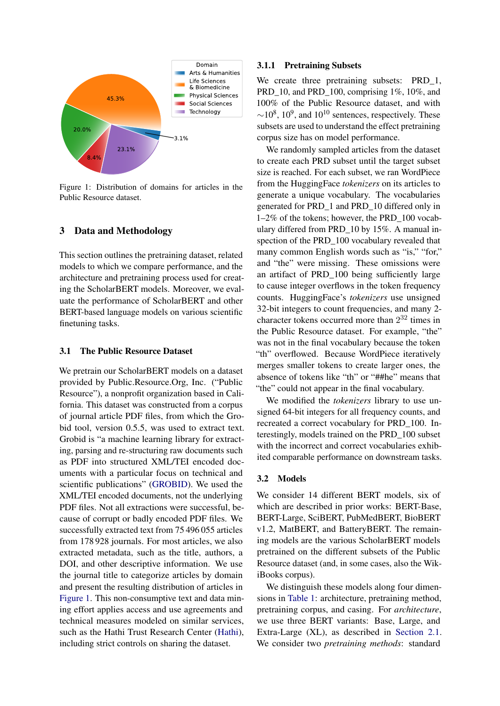<span id="page-3-0"></span>

Figure 1: Distribution of domains for articles in the Public Resource dataset.

### 3 Data and Methodology

This section outlines the pretraining dataset, related models to which we compare performance, and the architecture and pretraining process used for creating the ScholarBERT models. Moreover, we evaluate the performance of ScholarBERT and other BERT-based language models on various scientific finetuning tasks.

#### 3.1 The Public Resource Dataset

We pretrain our ScholarBERT models on a dataset provided by Public.Resource.Org, Inc. ("Public Resource"), a nonprofit organization based in California. This dataset was constructed from a corpus of journal article PDF files, from which the Grobid tool, version 0.5.5, was used to extract text. Grobid is "a machine learning library for extracting, parsing and re-structuring raw documents such as PDF into structured XML/TEI encoded documents with a particular focus on technical and scientific publications" [\(GROBID\)](#page-11-9). We used the XML/TEI encoded documents, not the underlying PDF files. Not all extractions were successful, because of corrupt or badly encoded PDF files. We successfully extracted text from 75 496 055 articles from 178 928 journals. For most articles, we also extracted metadata, such as the title, authors, a DOI, and other descriptive information. We use the journal title to categorize articles by domain and present the resulting distribution of articles in [Figure 1.](#page-3-0) This non-consumptive text and data mining effort applies access and use agreements and technical measures modeled on similar services, such as the Hathi Trust Research Center [\(Hathi\)](#page-11-10), including strict controls on sharing the dataset.

#### 3.1.1 Pretraining Subsets

We create three pretraining subsets: PRD\_1, PRD<sub>10</sub>, and PRD<sub>100</sub>, comprising 1%, 10%, and 100% of the Public Resource dataset, and with  $\sim$ 10<sup>8</sup>, 10<sup>9</sup>, and 10<sup>10</sup> sentences, respectively. These subsets are used to understand the effect pretraining corpus size has on model performance.

We randomly sampled articles from the dataset to create each PRD subset until the target subset size is reached. For each subset, we ran WordPiece from the HuggingFace *tokenizers* on its articles to generate a unique vocabulary. The vocabularies generated for PRD\_1 and PRD\_10 differed only in 1–2% of the tokens; however, the PRD\_100 vocabulary differed from PRD\_10 by 15%. A manual inspection of the PRD\_100 vocabulary revealed that many common English words such as "is," "for," and "the" were missing. These omissions were an artifact of PRD\_100 being sufficiently large to cause integer overflows in the token frequency counts. HuggingFace's *tokenizers* use unsigned 32-bit integers to count frequencies, and many 2 character tokens occurred more than  $2^{32}$  times in the Public Resource dataset. For example, "the" was not in the final vocabulary because the token "th" overflowed. Because WordPiece iteratively merges smaller tokens to create larger ones, the absence of tokens like "th" or "##he" means that "the" could not appear in the final vocabulary.

We modified the *tokenizers* library to use unsigned 64-bit integers for all frequency counts, and recreated a correct vocabulary for PRD\_100. Interestingly, models trained on the PRD\_100 subset with the incorrect and correct vocabularies exhibited comparable performance on downstream tasks.

#### 3.2 Models

We consider 14 different BERT models, six of which are described in prior works: BERT-Base, BERT-Large, SciBERT, PubMedBERT, BioBERT v1.2, MatBERT, and BatteryBERT. The remaining models are the various ScholarBERT models pretrained on the different subsets of the Public Resource dataset (and, in some cases, also the WikiBooks corpus).

We distinguish these models along four dimensions in [Table 1:](#page-5-0) architecture, pretraining method, pretraining corpus, and casing. For *architecture*, we use three BERT variants: Base, Large, and Extra-Large (XL), as described in [Section 2.1.](#page-1-0) We consider two *pretraining methods*: standard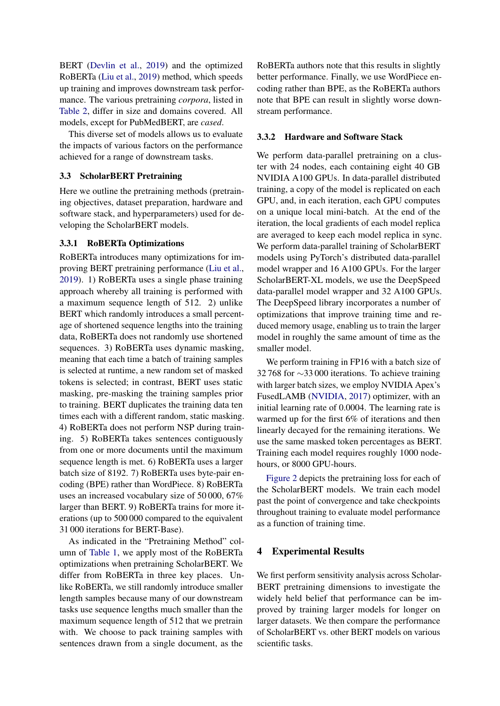BERT [\(Devlin et al.,](#page-10-0) [2019\)](#page-10-0) and the optimized RoBERTa [\(Liu et al.,](#page-11-6) [2019\)](#page-11-6) method, which speeds up training and improves downstream task performance. The various pretraining *corpora*, listed in [Table 2,](#page-5-1) differ in size and domains covered. All models, except for PubMedBERT, are *cased*.

This diverse set of models allows us to evaluate the impacts of various factors on the performance achieved for a range of downstream tasks.

## <span id="page-4-0"></span>3.3 ScholarBERT Pretraining

Here we outline the pretraining methods (pretraining objectives, dataset preparation, hardware and software stack, and hyperparameters) used for developing the ScholarBERT models.

## 3.3.1 RoBERTa Optimizations

RoBERTa introduces many optimizations for improving BERT pretraining performance [\(Liu et al.,](#page-11-6) [2019\)](#page-11-6). 1) RoBERTa uses a single phase training approach whereby all training is performed with a maximum sequence length of 512. 2) unlike BERT which randomly introduces a small percentage of shortened sequence lengths into the training data, RoBERTa does not randomly use shortened sequences. 3) RoBERTa uses dynamic masking, meaning that each time a batch of training samples is selected at runtime, a new random set of masked tokens is selected; in contrast, BERT uses static masking, pre-masking the training samples prior to training. BERT duplicates the training data ten times each with a different random, static masking. 4) RoBERTa does not perform NSP during training. 5) RoBERTa takes sentences contiguously from one or more documents until the maximum sequence length is met. 6) RoBERTa uses a larger batch size of 8192. 7) RoBERTa uses byte-pair encoding (BPE) rather than WordPiece. 8) RoBERTa uses an increased vocabulary size of 50 000, 67% larger than BERT. 9) RoBERTa trains for more iterations (up to 500 000 compared to the equivalent 31 000 iterations for BERT-Base).

As indicated in the "Pretraining Method" column of [Table 1,](#page-5-0) we apply most of the RoBERTa optimizations when pretraining ScholarBERT. We differ from RoBERTa in three key places. Unlike RoBERTa, we still randomly introduce smaller length samples because many of our downstream tasks use sequence lengths much smaller than the maximum sequence length of 512 that we pretrain with. We choose to pack training samples with sentences drawn from a single document, as the

RoBERTa authors note that this results in slightly better performance. Finally, we use WordPiece encoding rather than BPE, as the RoBERTa authors note that BPE can result in slightly worse downstream performance.

## 3.3.2 Hardware and Software Stack

We perform data-parallel pretraining on a cluster with 24 nodes, each containing eight 40 GB NVIDIA A100 GPUs. In data-parallel distributed training, a copy of the model is replicated on each GPU, and, in each iteration, each GPU computes on a unique local mini-batch. At the end of the iteration, the local gradients of each model replica are averaged to keep each model replica in sync. We perform data-parallel training of ScholarBERT models using PyTorch's distributed data-parallel model wrapper and 16 A100 GPUs. For the larger ScholarBERT-XL models, we use the DeepSpeed data-parallel model wrapper and 32 A100 GPUs. The DeepSpeed library incorporates a number of optimizations that improve training time and reduced memory usage, enabling us to train the larger model in roughly the same amount of time as the smaller model.

We perform training in FP16 with a batch size of 32 768 for ∼33 000 iterations. To achieve training with larger batch sizes, we employ NVIDIA Apex's FusedLAMB [\(NVIDIA,](#page-11-11) [2017\)](#page-11-11) optimizer, with an initial learning rate of 0.0004. The learning rate is warmed up for the first 6% of iterations and then linearly decayed for the remaining iterations. We use the same masked token percentages as BERT. Training each model requires roughly 1000 nodehours, or 8000 GPU-hours.

[Figure 2](#page-5-2) depicts the pretraining loss for each of the ScholarBERT models. We train each model past the point of convergence and take checkpoints throughout training to evaluate model performance as a function of training time.

## <span id="page-4-1"></span>4 Experimental Results

We first perform sensitivity analysis across Scholar-BERT pretraining dimensions to investigate the widely held belief that performance can be improved by training larger models for longer on larger datasets. We then compare the performance of ScholarBERT vs. other BERT models on various scientific tasks.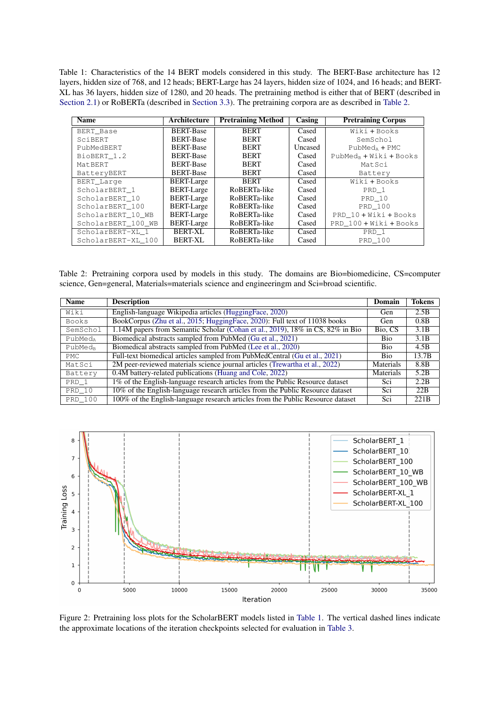<span id="page-5-0"></span>Table 1: Characteristics of the 14 BERT models considered in this study. The BERT-Base architecture has 12 layers, hidden size of 768, and 12 heads; BERT-Large has 24 layers, hidden size of 1024, and 16 heads; and BERT-XL has 36 layers, hidden size of 1280, and 20 heads. The pretraining method is either that of BERT (described in [Section 2.1\)](#page-1-0) or RoBERTa (described in [Section 3.3\)](#page-4-0). The pretraining corpora are as described in [Table 2.](#page-5-1)

| <b>Name</b>        | Architecture      | <b>Pretraining Method</b> | Casing  | <b>Pretraining Corpus</b> |
|--------------------|-------------------|---------------------------|---------|---------------------------|
| <b>BERT Base</b>   | <b>BERT-Base</b>  | <b>BERT</b>               | Cased   | Wiki + Books              |
| SciBERT            | <b>BERT-Base</b>  | <b>BERT</b>               | Cased   | SemSchol                  |
| PubMedBERT         | <b>BERT-Base</b>  | <b>BERT</b>               | Uncased | $PubMedA + PMC$           |
| BioBERT 1.2        | <b>BERT-Base</b>  | <b>BERT</b>               | Cased   | $PubMedB + Wiki + Books$  |
| MatBERT            | <b>BERT-Base</b>  | <b>BERT</b>               | Cased   | MatSci                    |
| BatteryBERT        | <b>BERT-Base</b>  | <b>BERT</b>               | Cased   | Battery                   |
| BERT_Large         | <b>BERT-Large</b> | <b>BERT</b>               | Cased   | Wiki + Books              |
| ScholarBERT 1      | <b>BERT-Large</b> | RoBERTa-like              | Cased   | PRD 1                     |
| ScholarBERT 10     | <b>BERT-Large</b> | RoBERTa-like              | Cased   | PRD 10                    |
| ScholarBERT 100    | <b>BERT-Large</b> | RoBERTa-like              | Cased   | PRD 100                   |
| ScholarBERT 10 WB  | <b>BERT-Large</b> | RoBERTa-like              | Cased   | PRD 10 + Wiki + Books     |
| ScholarBERT_100_WB | <b>BERT-Large</b> | RoBERTa-like              | Cased   | PRD 100 + Wiki + Books    |
| ScholarBERT-XL 1   | <b>BERT-XL</b>    | RoBERTa-like              | Cased   | PRD 1                     |
| ScholarBERT-XL 100 | BERT-XL           | RoBERTa-like              | Cased   | PRD 100                   |

<span id="page-5-1"></span>Table 2: Pretraining corpora used by models in this study. The domains are Bio=biomedicine, CS=computer science, Gen=general, Materials=materials science and engineeringm and Sci=broad scientific.

| <b>Name</b>         | <b>Description</b>                                                              | Domain     | <b>Tokens</b>    |
|---------------------|---------------------------------------------------------------------------------|------------|------------------|
| Wiki                | English-language Wikipedia articles (HuggingFace, 2020)                         | Gen        | 2.5B             |
| <b>Books</b>        | BookCorpus (Zhu et al., 2015; HuggingFace, 2020): Full text of 11038 books      | Gen        | 0.8B             |
| SemSchol            | 1.14M papers from Semantic Scholar (Cohan et al., 2019), 18% in CS, 82% in Bio  | Bio, CS    | 3.1B             |
| PubMed <sub>a</sub> | Biomedical abstracts sampled from PubMed (Gu et al., 2021)                      | <b>Bio</b> | 3.1B             |
| PubMed <sub>R</sub> | Biomedical abstracts sampled from PubMed (Lee et al., 2020)                     | Bio        | 4.5B             |
| PMC.                | Full-text biomedical articles sampled from PubMedCentral (Gu et al., 2021)      | <b>Bio</b> | 13.7B            |
| MatSci              | 2M peer-reviewed materials science journal articles (Trewartha et al., 2022)    | Materials  | 8.8 <sub>B</sub> |
| Battery             | 0.4M battery-related publications (Huang and Cole, 2022)                        | Materials  | 5.2B             |
| PRD 1               | 1% of the English-language research articles from the Public Resource dataset   | Sci        | 2.2B             |
| PRD 10              | 10% of the English-language research articles from the Public Resource dataset  | Sci        | 22B              |
| PRD 100             | 100% of the English-language research articles from the Public Resource dataset | Sci        | 221 <sub>B</sub> |

<span id="page-5-2"></span>

Figure 2: Pretraining loss plots for the ScholarBERT models listed in [Table 1.](#page-5-0) The vertical dashed lines indicate the approximate locations of the iteration checkpoints selected for evaluation in [Table 3.](#page-6-0)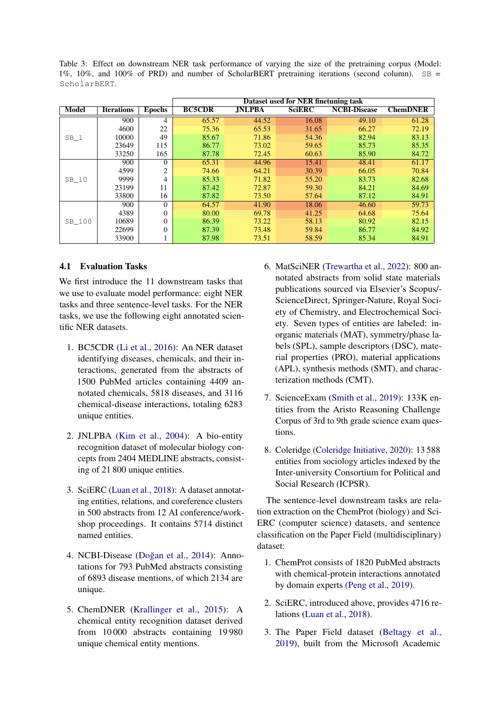<span id="page-6-0"></span>Table 3: Effect on downstream NER task performance of varying the size of the pretraining corpus (Model: 1%, 10%, and 100% of PRD) and number of ScholarBERT pretraining iterations (second column). SB = ScholarBERT.

|        |                   |               | Dataset used for NER finetuning task |               |               |                     |                 |
|--------|-------------------|---------------|--------------------------------------|---------------|---------------|---------------------|-----------------|
| Model  | <b>Iterations</b> | <b>Epochs</b> | <b>BC5CDR</b>                        | <b>JNLPBA</b> | <b>SciERC</b> | <b>NCBI-Disease</b> | <b>ChemDNER</b> |
|        | 900               | 4             | 65.57                                | 44.52         | 16.08         | 49.10               | 61.28           |
|        | 4600              | 22            | 75.36                                | 65.53         | 31.65         | 66.27               | 72.19           |
| $SB_1$ | 10000             | 49            | 85.67                                | 71.86         | 54.36         | 82.94               | 83.13           |
|        | 23649             | 115           | 86.77                                | 73.02         | 59.65         | 85.73               | 85.35           |
|        | 33250             | 165           | 87.78                                | 72.45         | 60.63         | 85.90               | 84.72           |
|        | 900               | $\Omega$      | 65.31                                | 44.96         | 15.41         | 48.41               | 61.17           |
|        | 4599              | 2             | 74.66                                | 64.21         | 30.39         | 66.05               | 70.84           |
| SB 10  | 9999              | 4             | 85.33                                | 71.82         | 55.20         | 83.73               | 82.68           |
|        | 23199             | 11            | 87.42                                | 72.87         | 59.30         | 84.21               | 84.69           |
|        | 33800             | 16            | 87.82                                | 73.50         | 57.64         | 87.12               | 84.91           |
|        | 900               | $\Omega$      | 64.57                                | 41.90         | 18.06         | 46.60               | 59.73           |
|        | 4389              | $\Omega$      | 80.00                                | 69.78         | 41.25         | 64.68               | 75.64           |
| SB 100 | 10689             | $\Omega$      | 86.39                                | 73.22         | 58.13         | 80.92               | 82.15           |
|        | 22699             | $\theta$      | 87.39                                | 73.48         | 59.84         | 86.77               | 84.92           |
|        | 33900             |               | 87.98                                | 73.51         | 58.59         | 85.34               | 84.91           |

## 4.1 Evaluation Tasks

We first introduce the 11 downstream tasks that we use to evaluate model performance: eight NER tasks and three sentence-level tasks. For the NER tasks, we use the following eight annotated scientific NER datasets.

- 1. BC5CDR [\(Li et al.,](#page-11-13) [2016\)](#page-11-13): An NER dataset identifying diseases, chemicals, and their interactions, generated from the abstracts of 1500 PubMed articles containing 4409 annotated chemicals, 5818 diseases, and 3116 chemical-disease interactions, totaling 6283 unique entities.
- 2. JNLPBA [\(Kim et al.,](#page-11-14) [2004\)](#page-11-14): A bio-entity recognition dataset of molecular biology concepts from 2404 MEDLINE abstracts, consisting of 21 800 unique entities.
- 3. SciERC [\(Luan et al.,](#page-11-15) [2018\)](#page-11-15): A dataset annotating entities, relations, and coreference clusters in 500 abstracts from 12 AI conference/workshop proceedings. It contains 5714 distinct named entities.
- 4. NCBI-Disease (Doğan et al., [2014\)](#page-10-7): Annotations for 793 PubMed abstracts consisting of 6893 disease mentions, of which 2134 are unique.
- 5. ChemDNER [\(Krallinger et al.,](#page-11-16) [2015\)](#page-11-16): A chemical entity recognition dataset derived from 10 000 abstracts containing 19 980 unique chemical entity mentions.
- 6. MatSciNER [\(Trewartha et al.,](#page-12-3) [2022\)](#page-12-3): 800 annotated abstracts from solid state materials publications sourced via Elsevier's Scopus/- ScienceDirect, Springer-Nature, Royal Society of Chemistry, and Electrochemical Society. Seven types of entities are labeled: inorganic materials (MAT), symmetry/phase labels (SPL), sample descriptors (DSC), material properties (PRO), material applications (APL), synthesis methods (SMT), and characterization methods (CMT).
- 7. ScienceExam [\(Smith et al.,](#page-12-5) [2019\)](#page-12-5): 133K entities from the Aristo Reasoning Challenge Corpus of 3rd to 9th grade science exam questions.
- 8. Coleridge [\(Coleridge Initiative,](#page-10-8) [2020\)](#page-10-8): 13 588 entities from sociology articles indexed by the Inter-university Consortium for Political and Social Research (ICPSR).

The sentence-level downstream tasks are relation extraction on the ChemProt (biology) and Sci-ERC (computer science) datasets, and sentence classification on the Paper Field (multidisciplinary) dataset:

- 1. ChemProt consists of 1820 PubMed abstracts with chemical-protein interactions annotated by domain experts [\(Peng et al.,](#page-11-17) [2019\)](#page-11-17).
- 2. SciERC, introduced above, provides 4716 relations [\(Luan et al.,](#page-11-15) [2018\)](#page-11-15).
- 3. The Paper Field dataset [\(Beltagy et al.,](#page-10-1) [2019\)](#page-10-1), built from the Microsoft Academic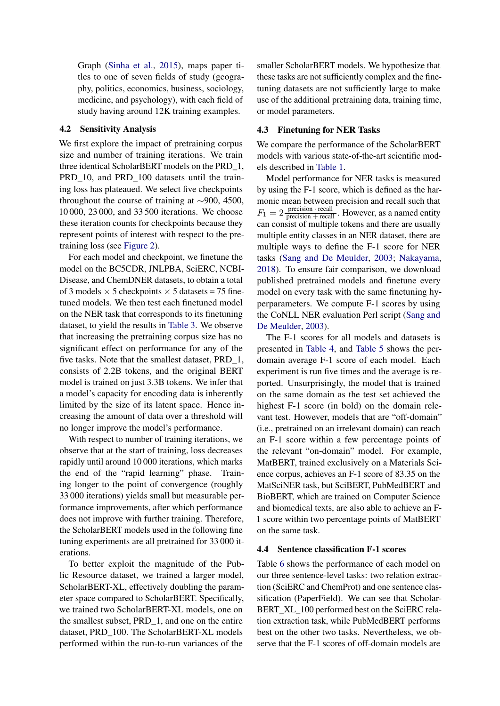Graph [\(Sinha et al.,](#page-11-18) [2015\)](#page-11-18), maps paper titles to one of seven fields of study (geography, politics, economics, business, sociology, medicine, and psychology), with each field of study having around 12K training examples.

## 4.2 Sensitivity Analysis

We first explore the impact of pretraining corpus size and number of training iterations. We train three identical ScholarBERT models on the PRD\_1, PRD\_10, and PRD\_100 datasets until the training loss has plateaued. We select five checkpoints throughout the course of training at ∼900, 4500, 10 000, 23 000, and 33 500 iterations. We choose these iteration counts for checkpoints because they represent points of interest with respect to the pretraining loss (see [Figure 2\)](#page-5-2).

For each model and checkpoint, we finetune the model on the BC5CDR, JNLPBA, SciERC, NCBI-Disease, and ChemDNER datasets, to obtain a total of 3 models  $\times$  5 checkpoints  $\times$  5 datasets = 75 finetuned models. We then test each finetuned model on the NER task that corresponds to its finetuning dataset, to yield the results in [Table 3.](#page-6-0) We observe that increasing the pretraining corpus size has no significant effect on performance for any of the five tasks. Note that the smallest dataset, PRD\_1, consists of 2.2B tokens, and the original BERT model is trained on just 3.3B tokens. We infer that a model's capacity for encoding data is inherently limited by the size of its latent space. Hence increasing the amount of data over a threshold will no longer improve the model's performance.

With respect to number of training iterations, we observe that at the start of training, loss decreases rapidly until around 10 000 iterations, which marks the end of the "rapid learning" phase. Training longer to the point of convergence (roughly 33 000 iterations) yields small but measurable performance improvements, after which performance does not improve with further training. Therefore, the ScholarBERT models used in the following fine tuning experiments are all pretrained for 33 000 iterations.

To better exploit the magnitude of the Public Resource dataset, we trained a larger model, ScholarBERT-XL, effectively doubling the parameter space compared to ScholarBERT. Specifically, we trained two ScholarBERT-XL models, one on the smallest subset, PRD\_1, and one on the entire dataset, PRD\_100. The ScholarBERT-XL models performed within the run-to-run variances of the

smaller ScholarBERT models. We hypothesize that these tasks are not sufficiently complex and the finetuning datasets are not sufficiently large to make use of the additional pretraining data, training time, or model parameters.

## 4.3 Finetuning for NER Tasks

We compare the performance of the ScholarBERT models with various state-of-the-art scientific models described in [Table 1.](#page-5-0)

Model performance for NER tasks is measured by using the F-1 score, which is defined as the harmonic mean between precision and recall such that  $F_1 = 2 \frac{\text{precision} \cdot \text{recall}}{\text{precision} + \text{recall}}$ . However, as a named entity can consist of multiple tokens and there are usually multiple entity classes in an NER dataset, there are multiple ways to define the F-1 score for NER tasks [\(Sang and De Meulder,](#page-11-19) [2003;](#page-11-19) [Nakayama,](#page-11-20) [2018\)](#page-11-20). To ensure fair comparison, we download published pretrained models and finetune every model on every task with the same finetuning hyperparameters. We compute F-1 scores by using the CoNLL NER evaluation Perl script [\(Sang and](#page-11-19) [De Meulder,](#page-11-19) [2003\)](#page-11-19).

The F-1 scores for all models and datasets is presented in [Table 4,](#page-8-0) and [Table 5](#page-8-1) shows the perdomain average F-1 score of each model. Each experiment is run five times and the average is reported. Unsurprisingly, the model that is trained on the same domain as the test set achieved the highest F-1 score (in bold) on the domain relevant test. However, models that are "off-domain" (i.e., pretrained on an irrelevant domain) can reach an F-1 score within a few percentage points of the relevant "on-domain" model. For example, MatBERT, trained exclusively on a Materials Science corpus, achieves an F-1 score of 83.35 on the MatSciNER task, but SciBERT, PubMedBERT and BioBERT, which are trained on Computer Science and biomedical texts, are also able to achieve an F-1 score within two percentage points of MatBERT on the same task.

## 4.4 Sentence classification F-1 scores

Table [6](#page-10-9) shows the performance of each model on our three sentence-level tasks: two relation extraction (SciERC and ChemProt) and one sentence classification (PaperField). We can see that Scholar-BERT\_XL\_100 performed best on the SciERC relation extraction task, while PubMedBERT performs best on the other two tasks. Nevertheless, we observe that the F-1 scores of off-domain models are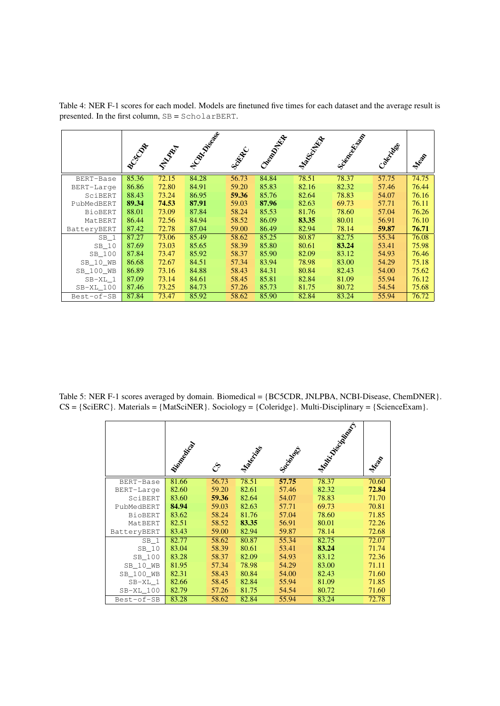<span id="page-8-0"></span>Table 4: NER F-1 scores for each model. Models are finetuned five times for each dataset and the average result is presented. In the first column, SB = ScholarBERT.

|                 | BUCON | <b>PARA</b> | No Chicago | Scribber | Cheenol Exp | Manufacture | <b>Science</b> d High | Colectives | Mean  |
|-----------------|-------|-------------|------------|----------|-------------|-------------|-----------------------|------------|-------|
| BERT-Base       | 85.36 | 72.15       | 84.28      | 56.73    | 84.84       | 78.51       | 78.37                 | 57.75      | 74.75 |
| BERT-Large      | 86.86 | 72.80       | 84.91      | 59.20    | 85.83       | 82.16       | 82.32                 | 57.46      | 76.44 |
| SciBERT         | 88.43 | 73.24       | 86.95      | 59.36    | 85.76       | 82.64       | 78.83                 | 54.07      | 76.16 |
| PubMedBERT      | 89.34 | 74.53       | 87.91      | 59.03    | 87.96       | 82.63       | 69.73                 | 57.71      | 76.11 |
| <b>BioBERT</b>  | 88.01 | 73.09       | 87.84      | 58.24    | 85.53       | 81.76       | 78.60                 | 57.04      | 76.26 |
| MatBERT         | 86.44 | 72.56       | 84.94      | 58.52    | 86.09       | 83.35       | 80.01                 | 56.91      | 76.10 |
| BatteryBERT     | 87.42 | 72.78       | 87.04      | 59.00    | 86.49       | 82.94       | 78.14                 | 59.87      | 76.71 |
| SB <sub>1</sub> | 87.27 | 73.06       | 85.49      | 58.62    | 85.25       | 80.87       | 82.75                 | 55.34      | 76.08 |
| SB 10           | 87.69 | 73.03       | 85.65      | 58.39    | 85.80       | 80.61       | 83.24                 | 53.41      | 75.98 |
| SB 100          | 87.84 | 73.47       | 85.92      | 58.37    | 85.90       | 82.09       | 83.12                 | 54.93      | 76.46 |
| SB 10 WB        | 86.68 | 72.67       | 84.51      | 57.34    | 83.94       | 78.98       | 83.00                 | 54.29      | 75.18 |
| SB_100_WB       | 86.89 | 73.16       | 84.88      | 58.43    | 84.31       | 80.84       | 82.43                 | 54.00      | 75.62 |
| $SB-XL 1$       | 87.09 | 73.14       | 84.61      | 58.45    | 85.81       | 82.84       | 81.09                 | 55.94      | 76.12 |
| SB-XL 100       | 87.46 | 73.25       | 84.73      | 57.26    | 85.73       | 81.75       | 80.72                 | 54.54      | 75.68 |
| Best-of-SB      | 87.84 | 73.47       | 85.92      | 58.62    | 85.90       | 82.84       | 83.24                 | 55.94      | 76.72 |

<span id="page-8-1"></span>Table 5: NER F-1 scores averaged by domain. Biomedical = {BC5CDR, JNLPBA, NCBI-Disease, ChemDNER}. CS = {SciERC}. Materials = {MatSciNER}. Sociology = {Coleridge}. Multi-Disciplinary = {ScienceExam}.

|                | <b>Finally City</b> | چي    | Marchines | Socialdes | <b>Maritime Britain R.A.</b> | Mean  |
|----------------|---------------------|-------|-----------|-----------|------------------------------|-------|
| BERT-Base      | 81.66               | 56.73 | 78.51     | 57.75     | 78.37                        | 70.60 |
| BERT-Large     | 82.60               | 59.20 | 82.61     | 57.46     | 82.32                        | 72.84 |
| SciBERT        | 83.60               | 59.36 | 82.64     | 54.07     | 78.83                        | 71.70 |
| PubMedBERT     | 84.94               | 59.03 | 82.63     | 57.71     | 69.73                        | 70.81 |
| <b>BioBERT</b> | 83.62               | 58.24 | 81.76     | 57.04     | 78.60                        | 71.85 |
| MatBERT        | 82.51               | 58.52 | 83.35     | 56.91     | 80.01                        | 72.26 |
| BatteryBERT    | 83.43               | 59.00 | 82.94     | 59.87     | 78.14                        | 72.68 |
| $SB_1$         | 82.77               | 58.62 | 80.87     | 55.34     | 82.75                        | 72.07 |
| SB 10          | 83.04               | 58.39 | 80.61     | 53.41     | 83.24                        | 71.74 |
| SB 100         | 83.28               | 58.37 | 82.09     | 54.93     | 83.12                        | 72.36 |
| SB 10 WB       | 81.95               | 57.34 | 78.98     | 54.29     | 83.00                        | 71.11 |
| SB 100 WB      | 82.31               | 58.43 | 80.84     | 54.00     | 82.43                        | 71.60 |
| SB-XL 1        | 82.66               | 58.45 | 82.84     | 55.94     | 81.09                        | 71.85 |
| $SB-XL_100$    | 82.79               | 57.26 | 81.75     | 54.54     | 80.72                        | 71.60 |
| Best-of-SB     | 83.28               | 58.62 | 82.84     | 55.94     | 83.24                        | 72.78 |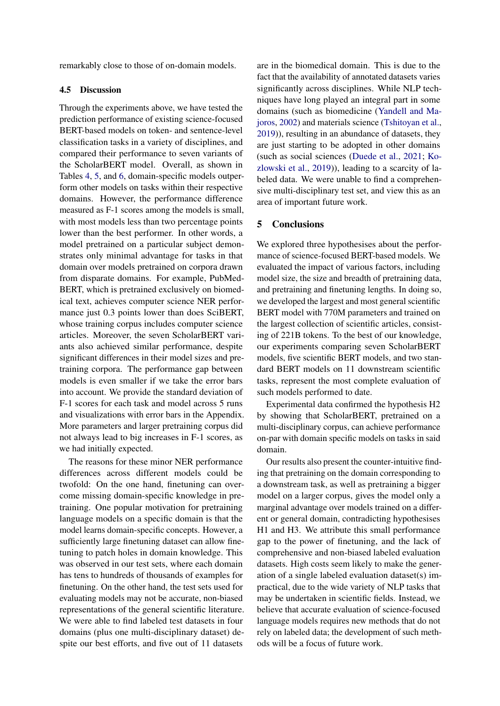remarkably close to those of on-domain models.

## 4.5 Discussion

Through the experiments above, we have tested the prediction performance of existing science-focused BERT-based models on token- and sentence-level classification tasks in a variety of disciplines, and compared their performance to seven variants of the ScholarBERT model. Overall, as shown in Tables [4,](#page-8-0) [5,](#page-8-1) and [6,](#page-10-9) domain-specific models outperform other models on tasks within their respective domains. However, the performance difference measured as F-1 scores among the models is small, with most models less than two percentage points lower than the best performer. In other words, a model pretrained on a particular subject demonstrates only minimal advantage for tasks in that domain over models pretrained on corpora drawn from disparate domains. For example, PubMed-BERT, which is pretrained exclusively on biomedical text, achieves computer science NER performance just 0.3 points lower than does SciBERT, whose training corpus includes computer science articles. Moreover, the seven ScholarBERT variants also achieved similar performance, despite significant differences in their model sizes and pretraining corpora. The performance gap between models is even smaller if we take the error bars into account. We provide the standard deviation of F-1 scores for each task and model across 5 runs and visualizations with error bars in the Appendix. More parameters and larger pretraining corpus did not always lead to big increases in F-1 scores, as we had initially expected.

The reasons for these minor NER performance differences across different models could be twofold: On the one hand, finetuning can overcome missing domain-specific knowledge in pretraining. One popular motivation for pretraining language models on a specific domain is that the model learns domain-specific concepts. However, a sufficiently large finetuning dataset can allow finetuning to patch holes in domain knowledge. This was observed in our test sets, where each domain has tens to hundreds of thousands of examples for finetuning. On the other hand, the test sets used for evaluating models may not be accurate, non-biased representations of the general scientific literature. We were able to find labeled test datasets in four domains (plus one multi-disciplinary dataset) despite our best efforts, and five out of 11 datasets

are in the biomedical domain. This is due to the fact that the availability of annotated datasets varies significantly across disciplines. While NLP techniques have long played an integral part in some domains (such as biomedicine [\(Yandell and Ma](#page-12-6)[joros,](#page-12-6) [2002\)](#page-12-6) and materials science [\(Tshitoyan et al.,](#page-12-7) [2019\)](#page-12-7)), resulting in an abundance of datasets, they are just starting to be adopted in other domains (such as social sciences [\(Duede et al.,](#page-10-10) [2021;](#page-10-10) [Ko](#page-11-21)[zlowski et al.,](#page-11-21) [2019\)](#page-11-21)), leading to a scarcity of labeled data. We were unable to find a comprehensive multi-disciplinary test set, and view this as an area of important future work.

## 5 Conclusions

We explored three hypothesises about the performance of science-focused BERT-based models. We evaluated the impact of various factors, including model size, the size and breadth of pretraining data, and pretraining and finetuning lengths. In doing so, we developed the largest and most general scientific BERT model with 770M parameters and trained on the largest collection of scientific articles, consisting of 221B tokens. To the best of our knowledge, our experiments comparing seven ScholarBERT models, five scientific BERT models, and two standard BERT models on 11 downstream scientific tasks, represent the most complete evaluation of such models performed to date.

Experimental data confirmed the hypothesis H2 by showing that ScholarBERT, pretrained on a multi-disciplinary corpus, can achieve performance on-par with domain specific models on tasks in said domain.

Our results also present the counter-intuitive finding that pretraining on the domain corresponding to a downstream task, as well as pretraining a bigger model on a larger corpus, gives the model only a marginal advantage over models trained on a different or general domain, contradicting hypothesises H1 and H3. We attribute this small performance gap to the power of finetuning, and the lack of comprehensive and non-biased labeled evaluation datasets. High costs seem likely to make the generation of a single labeled evaluation dataset(s) impractical, due to the wide variety of NLP tasks that may be undertaken in scientific fields. Instead, we believe that accurate evaluation of science-focused language models requires new methods that do not rely on labeled data; the development of such methods will be a focus of future work.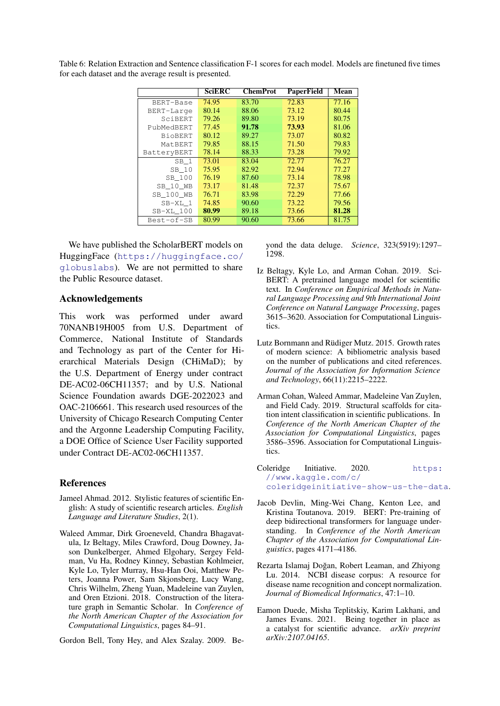|                 | <b>SciERC</b> | <b>ChemProt</b> | <b>PaperField</b> | Mean  |
|-----------------|---------------|-----------------|-------------------|-------|
| BERT-Base       | 74.95         | 83.70           | 72.83             | 77.16 |
| BERT-Large      | 80.14         | 88.06           | 73.12             | 80.44 |
| SciBERT         | 79.26         | 89.80           | 73.19             | 80.75 |
| PubMedBERT      | 77.45         | 91.78           | 73.93             | 81.06 |
| <b>BioBERT</b>  | 80.12         | 89.27           | 73.07             | 80.82 |
| MatBERT         | 79.85         | 88.15           | 71.50             | 79.83 |
| BatteryBERT     | 78.14         | 88.33           | 73.28             | 79.92 |
| SB <sub>1</sub> | 73.01         | 83.04           | 72.77             | 76.27 |
| SB 10           | 75.95         | 82.92           | 72.94             | 77.27 |
| SB_100          | 76.19         | 87.60           | 73.14             | 78.98 |
| SB 10 WB        | 73.17         | 81.48           | 72.37             | 75.67 |
| SB 100 WB       | 76.71         | 83.98           | 72.29             | 77.66 |
| SB-XL 1         | 74.85         | 90.60           | 73.22             | 79.56 |
| SB-XL 100       | 80.99         | 89.18           | 73.66             | 81.28 |
| Best-of-SB      | 80.99         | 90.60           | 73.66             | 81.75 |

<span id="page-10-9"></span>Table 6: Relation Extraction and Sentence classification F-1 scores for each model. Models are finetuned five times for each dataset and the average result is presented.

We have published the ScholarBERT models on HuggingFace ([https://huggingface.co/](https://huggingface.co/globuslabs) [globuslabs](https://huggingface.co/globuslabs)). We are not permitted to share the Public Resource dataset.

#### Acknowledgements

This work was performed under award 70NANB19H005 from U.S. Department of Commerce, National Institute of Standards and Technology as part of the Center for Hierarchical Materials Design (CHiMaD); by the U.S. Department of Energy under contract DE-AC02-06CH11357; and by U.S. National Science Foundation awards DGE-2022023 and OAC-2106661. This research used resources of the University of Chicago Research Computing Center and the Argonne Leadership Computing Facility, a DOE Office of Science User Facility supported under Contract DE-AC02-06CH11357.

## **References**

- <span id="page-10-4"></span>Jameel Ahmad. 2012. Stylistic features of scientific English: A study of scientific research articles. *English Language and Literature Studies*, 2(1).
- <span id="page-10-5"></span>Waleed Ammar, Dirk Groeneveld, Chandra Bhagavatula, Iz Beltagy, Miles Crawford, Doug Downey, Jason Dunkelberger, Ahmed Elgohary, Sergey Feldman, Vu Ha, Rodney Kinney, Sebastian Kohlmeier, Kyle Lo, Tyler Murray, Hsu-Han Ooi, Matthew Peters, Joanna Power, Sam Skjonsberg, Lucy Wang, Chris Wilhelm, Zheng Yuan, Madeleine van Zuylen, and Oren Etzioni. 2018. Construction of the literature graph in Semantic Scholar. In *Conference of the North American Chapter of the Association for Computational Linguistics*, pages 84–91.

<span id="page-10-3"></span>Gordon Bell, Tony Hey, and Alex Szalay. 2009. Be-

yond the data deluge. *Science*, 323(5919):1297– 1298.

- <span id="page-10-1"></span>Iz Beltagy, Kyle Lo, and Arman Cohan. 2019. Sci-BERT: A pretrained language model for scientific text. In *Conference on Empirical Methods in Natural Language Processing and 9th International Joint Conference on Natural Language Processing*, pages 3615–3620. Association for Computational Linguistics.
- <span id="page-10-2"></span>Lutz Bornmann and Rüdiger Mutz. 2015. Growth rates of modern science: A bibliometric analysis based on the number of publications and cited references. *Journal of the Association for Information Science and Technology*, 66(11):2215–2222.
- <span id="page-10-6"></span>Arman Cohan, Waleed Ammar, Madeleine Van Zuylen, and Field Cady. 2019. Structural scaffolds for citation intent classification in scientific publications. In *Conference of the North American Chapter of the Association for Computational Linguistics*, pages 3586–3596. Association for Computational Linguistics.
- <span id="page-10-8"></span>Coleridge Initiative. 2020. [https:](https://www.kaggle.com/c/coleridgeinitiative-show-us-the-data) [//www.kaggle.com/c/](https://www.kaggle.com/c/coleridgeinitiative-show-us-the-data) [coleridgeinitiative-show-us-the-data](https://www.kaggle.com/c/coleridgeinitiative-show-us-the-data).
- <span id="page-10-0"></span>Jacob Devlin, Ming-Wei Chang, Kenton Lee, and Kristina Toutanova. 2019. BERT: Pre-training of deep bidirectional transformers for language understanding. In *Conference of the North American Chapter of the Association for Computational Linguistics*, pages 4171–4186.
- <span id="page-10-7"></span>Rezarta Islamaj Doğan, Robert Leaman, and Zhiyong Lu. 2014. NCBI disease corpus: A resource for disease name recognition and concept normalization. *Journal of Biomedical Informatics*, 47:1–10.
- <span id="page-10-10"></span>Eamon Duede, Misha Teplitskiy, Karim Lakhani, and James Evans. 2021. Being together in place as a catalyst for scientific advance. *arXiv preprint arXiv:2107.04165*.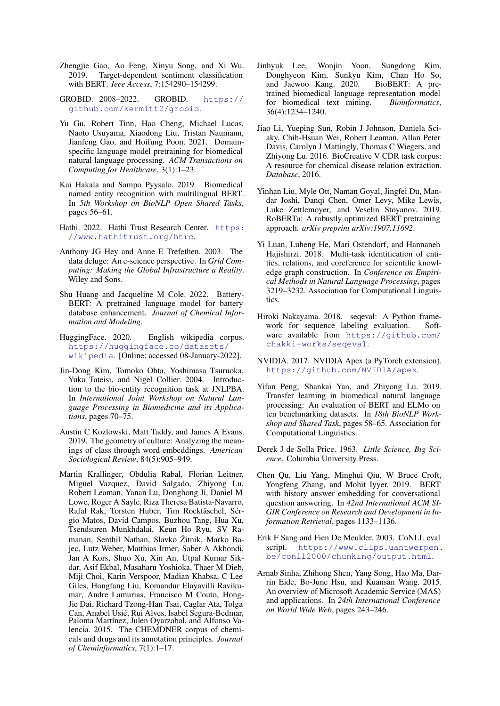- <span id="page-11-2"></span>Zhengjie Gao, Ao Feng, Xinyu Song, and Xi Wu. 2019. Target-dependent sentiment classification with BERT. *Ieee Access*, 7:154290–154299.
- <span id="page-11-9"></span>GROBID. 2008–2022. GROBID. [https://](https://github.com/kermitt2/grobid) [github.com/kermitt2/grobid](https://github.com/kermitt2/grobid).
- <span id="page-11-3"></span>Yu Gu, Robert Tinn, Hao Cheng, Michael Lucas, Naoto Usuyama, Xiaodong Liu, Tristan Naumann, Jianfeng Gao, and Hoifung Poon. 2021. Domainspecific language model pretraining for biomedical natural language processing. *ACM Transactions on Computing for Healthcare*, 3(1):1–23.
- <span id="page-11-0"></span>Kai Hakala and Sampo Pyysalo. 2019. Biomedical named entity recognition with multilingual BERT. In *5th Workshop on BioNLP Open Shared Tasks*, pages 56–61.
- <span id="page-11-10"></span>Hathi. 2022. Hathi Trust Research Center. [https:](https://www.hathitrust.org/htrc) [//www.hathitrust.org/htrc](https://www.hathitrust.org/htrc).
- <span id="page-11-8"></span>Anthony JG Hey and Anne E Trefethen. 2003. The data deluge: An e-science perspective. In *Grid Computing: Making the Global Infrastructure a Reality*. Wiley and Sons.
- <span id="page-11-4"></span>Shu Huang and Jacqueline M Cole. 2022. Battery-BERT: A pretrained language model for battery database enhancement. *Journal of Chemical Information and Modeling*.
- <span id="page-11-12"></span>HuggingFace. 2020. English wikipedia corpus. [https://huggingface.co/datasets/](https://huggingface.co/datasets/wikipedia) [wikipedia](https://huggingface.co/datasets/wikipedia). [Online; accessed 08-January-2022].
- <span id="page-11-14"></span>Jin-Dong Kim, Tomoko Ohta, Yoshimasa Tsuruoka, Yuka Tateisi, and Nigel Collier. 2004. Introduction to the bio-entity recognition task at JNLPBA. In *International Joint Workshop on Natural Language Processing in Biomedicine and its Applications*, pages 70–75.
- <span id="page-11-21"></span>Austin C Kozlowski, Matt Taddy, and James A Evans. 2019. The geometry of culture: Analyzing the meanings of class through word embeddings. *American Sociological Review*, 84(5):905–949.
- <span id="page-11-16"></span>Martin Krallinger, Obdulia Rabal, Florian Leitner, Miguel Vazquez, David Salgado, Zhiyong Lu, Robert Leaman, Yanan Lu, Donghong Ji, Daniel M Lowe, Roger A Sayle, Riza Theresa Batista-Navarro, Rafal Rak, Torsten Huber, Tim Rocktäschel, Sérgio Matos, David Campos, Buzhou Tang, Hua Xu, Tsendsuren Munkhdalai, Keun Ho Ryu, SV Ramanan, Senthil Nathan, Slavko Žitnik, Marko Bajec, Lutz Weber, Matthias Irmer, Saber A Akhondi, Jan A Kors, Shuo Xu, Xin An, Utpal Kumar Sikdar, Asif Ekbal, Masaharu Yoshioka, Thaer M Dieb, Miji Choi, Karin Verspoor, Madian Khabsa, C Lee Giles, Hongfang Liu, Komandur Elayavilli Ravikumar, Andre Lamurias, Francisco M Couto, Hong-Jie Dai, Richard Tzong-Han Tsai, Caglar Ata, Tolga Can, Anabel Usié, Rui Alves, Isabel Segura-Bedmar, Paloma Martínez, Julen Oyarzabal, and Alfonso Valencia. 2015. The CHEMDNER corpus of chemicals and drugs and its annotation principles. *Journal of Cheminformatics*, 7(1):1–17.
- <span id="page-11-5"></span>Jinhyuk Lee, Wonjin Yoon, Sungdong Kim, Donghyeon Kim, Sunkyu Kim, Chan Ho So, and Jaewoo Kang. 2020. BioBERT: A pretrained biomedical language representation model for biomedical text mining. *Bioinformatics*, 36(4):1234–1240.
- <span id="page-11-13"></span>Jiao Li, Yueping Sun, Robin J Johnson, Daniela Sciaky, Chih-Hsuan Wei, Robert Leaman, Allan Peter Davis, Carolyn J Mattingly, Thomas C Wiegers, and Zhiyong Lu. 2016. BioCreative V CDR task corpus: A resource for chemical disease relation extraction. *Database*, 2016.
- <span id="page-11-6"></span>Yinhan Liu, Myle Ott, Naman Goyal, Jingfei Du, Mandar Joshi, Danqi Chen, Omer Levy, Mike Lewis, Luke Zettlemoyer, and Veselin Stoyanov. 2019. RoBERTa: A robustly optimized BERT pretraining approach. *arXiv preprint arXiv:1907.11692*.
- <span id="page-11-15"></span>Yi Luan, Luheng He, Mari Ostendorf, and Hannaneh Hajishirzi. 2018. Multi-task identification of entities, relations, and coreference for scientific knowledge graph construction. In *Conference on Empirical Methods in Natural Language Processing*, pages 3219–3232. Association for Computational Linguistics.
- <span id="page-11-20"></span>Hiroki Nakayama. 2018. seqeval: A Python framework for sequence labeling evaluation. Software available from [https://github.com/](https://github.com/chakki-works/seqeval) [chakki-works/seqeval](https://github.com/chakki-works/seqeval).
- <span id="page-11-11"></span>NVIDIA. 2017. NVIDIA Apex (a PyTorch extension). <https://github.com/NVIDIA/apex>.
- <span id="page-11-17"></span>Yifan Peng, Shankai Yan, and Zhiyong Lu. 2019. Transfer learning in biomedical natural language processing: An evaluation of BERT and ELMo on ten benchmarking datasets. In *18th BioNLP Workshop and Shared Task*, pages 58–65. Association for Computational Linguistics.
- <span id="page-11-7"></span>Derek J de Solla Price. 1963. *Little Science, Big Science*. Columbia University Press.
- <span id="page-11-1"></span>Chen Qu, Liu Yang, Minghui Qiu, W Bruce Croft, Yongfeng Zhang, and Mohit Iyyer. 2019. BERT with history answer embedding for conversational question answering. In *42nd International ACM SI-GIR Conference on Research and Development in Information Retrieval*, pages 1133–1136.
- <span id="page-11-19"></span>Erik F Sang and Fien De Meulder. 2003. CoNLL eval script. [https://www.clips.uantwerpen.](https://www.clips.uantwerpen.be/conll2000/chunking/output.html) [be/conll2000/chunking/output.html](https://www.clips.uantwerpen.be/conll2000/chunking/output.html).
- <span id="page-11-18"></span>Arnab Sinha, Zhihong Shen, Yang Song, Hao Ma, Darrin Eide, Bo-June Hsu, and Kuansan Wang. 2015. An overview of Microsoft Academic Service (MAS) and applications. In *24th International Conference on World Wide Web*, pages 243–246.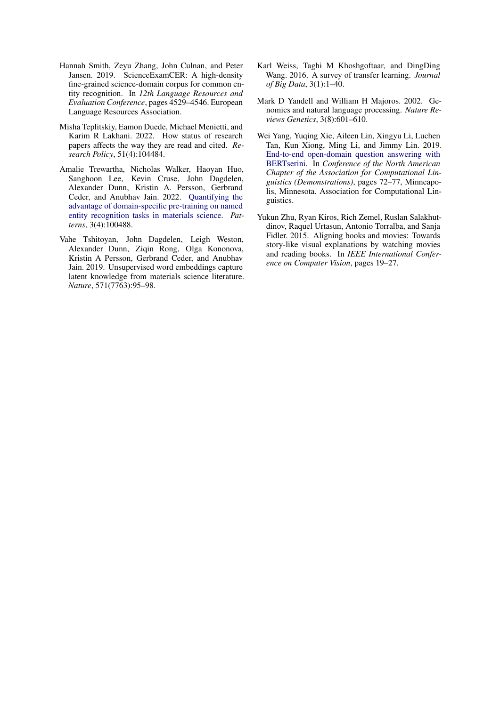- <span id="page-12-5"></span>Hannah Smith, Zeyu Zhang, John Culnan, and Peter Jansen. 2019. ScienceExamCER: A high-density fine-grained science-domain corpus for common entity recognition. In *12th Language Resources and Evaluation Conference*, pages 4529–4546. European Language Resources Association.
- <span id="page-12-2"></span>Misha Teplitskiy, Eamon Duede, Michael Menietti, and Karim R Lakhani. 2022. How status of research papers affects the way they are read and cited. *Research Policy*, 51(4):104484.
- <span id="page-12-3"></span>Amalie Trewartha, Nicholas Walker, Haoyan Huo, Sanghoon Lee, Kevin Cruse, John Dagdelen, Alexander Dunn, Kristin A. Persson, Gerbrand Ceder, and Anubhav Jain. 2022. [Quantifying the](https://doi.org/https://doi.org/10.1016/j.patter.2022.100488) [advantage of domain-specific pre-training on named](https://doi.org/https://doi.org/10.1016/j.patter.2022.100488) [entity recognition tasks in materials science.](https://doi.org/https://doi.org/10.1016/j.patter.2022.100488) *Patterns*, 3(4):100488.
- <span id="page-12-7"></span>Vahe Tshitoyan, John Dagdelen, Leigh Weston, Alexander Dunn, Ziqin Rong, Olga Kononova, Kristin A Persson, Gerbrand Ceder, and Anubhav Jain. 2019. Unsupervised word embeddings capture latent knowledge from materials science literature. *Nature*, 571(7763):95–98.
- <span id="page-12-1"></span>Karl Weiss, Taghi M Khoshgoftaar, and DingDing Wang. 2016. A survey of transfer learning. *Journal of Big Data*, 3(1):1–40.
- <span id="page-12-6"></span>Mark D Yandell and William H Majoros. 2002. Genomics and natural language processing. *Nature Reviews Genetics*, 3(8):601–610.
- <span id="page-12-0"></span>Wei Yang, Yuqing Xie, Aileen Lin, Xingyu Li, Luchen Tan, Kun Xiong, Ming Li, and Jimmy Lin. 2019. [End-to-end open-domain question answering with](https://doi.org/10.18653/v1/N19-4013) [BERTserini.](https://doi.org/10.18653/v1/N19-4013) In *Conference of the North American Chapter of the Association for Computational Linguistics (Demonstrations)*, pages 72–77, Minneapolis, Minnesota. Association for Computational Linguistics.
- <span id="page-12-4"></span>Yukun Zhu, Ryan Kiros, Rich Zemel, Ruslan Salakhutdinov, Raquel Urtasun, Antonio Torralba, and Sanja Fidler. 2015. Aligning books and movies: Towards story-like visual explanations by watching movies and reading books. In *IEEE International Conference on Computer Vision*, pages 19–27.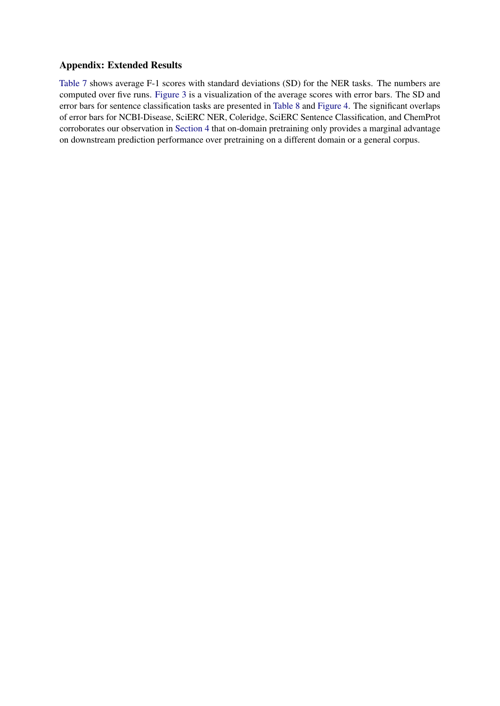# Appendix: Extended Results

[Table 7](#page-14-0) shows average F-1 scores with standard deviations (SD) for the NER tasks. The numbers are computed over five runs. [Figure 3](#page-14-1) is a visualization of the average scores with error bars. The SD and error bars for sentence classification tasks are presented in [Table 8](#page-15-0) and [Figure 4.](#page-15-1) The significant overlaps of error bars for NCBI-Disease, SciERC NER, Coleridge, SciERC Sentence Classification, and ChemProt corroborates our observation in [Section 4](#page-4-1) that on-domain pretraining only provides a marginal advantage on downstream prediction performance over pretraining on a different domain or a general corpus.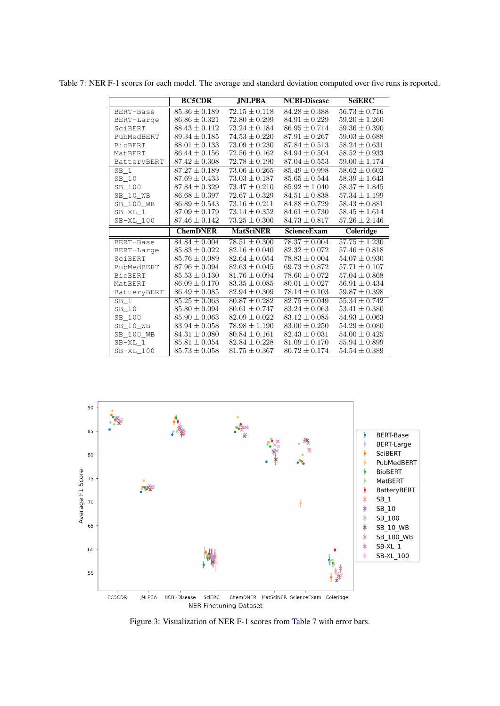|                 | <b>BC5CDR</b>                          | <b>JNLPBA</b>                          | <b>NCBI-Disease</b>                    | <b>SciERC</b>                          |
|-----------------|----------------------------------------|----------------------------------------|----------------------------------------|----------------------------------------|
| BERT-Base       | $85.36 \pm 0.189$                      | $72.15 \pm 0.118$                      | $84.28 \pm 0.388$                      | $56.73 \pm 0.716$                      |
| BERT-Large      | $86.86 \pm 0.321$                      | $72.80 \pm 0.299$                      | $84.91 \pm 0.229$                      | $59.20 \pm 1.260$                      |
| SciBERT         | $88.43 + 0.112$                        | $73.24 \pm 0.184$                      | $86.95 + 0.714$                        | $59.36 \pm 0.390$                      |
| PubMedBERT      | $89.34 \pm 0.185$                      | $74.53 \pm 0.220$                      | $87.91 \pm 0.267$                      | $59.03 \pm 0.688$                      |
| <b>BioBERT</b>  | $88.01 \pm 0.133$                      | $73.09 \pm 0.230$                      | $87.84 \pm 0.513$                      | $58.24 \pm 0.631$                      |
| MatBERT         | $86.44 \pm 0.156$                      | $72.56 \pm 0.162$                      | $84.94 \pm 0.504$                      | $58.52 \pm 0.933$                      |
| BatteryBERT     | $87.42 \pm 0.308$                      | $72.78 \pm 0.190$                      | $87.04 \pm 0.553$                      | $59.00 \pm 1.174$                      |
| SB <sub>1</sub> | $87.27 \pm 0.189$                      | $73.06 \pm 0.265$                      | $85.49 \pm 0.998$                      | $58.62 \pm 0.602$                      |
| SB 10           | $87.69 \pm 0.433$                      | $73.03 \pm 0.187$                      | $85.65 \pm 0.544$                      | $58.39 \pm 1.643$                      |
| SB 100          | $87.84 \pm 0.329$                      | $73.47 \pm 0.210$                      | $85.92 \pm 1.040$                      | $58.37 \pm 1.845$                      |
| SB 10 WB        | $86.68 \pm 0.397$                      | $72.67 \pm 0.329$                      | $84.51 \pm 0.838$                      | $57.34 \pm 1.199$                      |
| SB_100_WB       | $86.89 \pm 0.543$                      | $73.16 \pm 0.211$                      | $84.88 \pm 0.729$                      | $58.43 \pm 0.881$                      |
| $SB-XL$ 1       | $87.09 \pm 0.179$                      | $73.14 \pm 0.352$                      | $84.61 \pm 0.730$                      | $58.45 \pm 1.614$                      |
| SB-XL 100       | $87.46 \pm 0.142$                      | $73.25 \pm 0.300$                      | $84.73 \pm 0.817$                      | $57.26 \pm 2.146$                      |
|                 |                                        |                                        |                                        |                                        |
|                 | <b>ChemDNER</b>                        | <b>MatSciNER</b>                       | ScienceExam                            | Coleridge                              |
| BERT-Base       | $84.84 \pm 0.004$                      | $78.51 \pm 0.300$                      | $78.37 \pm 0.004$                      | $57.75 \pm 1.230$                      |
| BERT-Large      | $85.83 \pm 0.022$                      | $82.16 \pm 0.040$                      | $82.32 \pm 0.072$                      | $57.46 \pm 0.818$                      |
| SciBERT         | $85.76 \pm 0.089$                      | $82.64 \pm 0.054$                      | $78.83 \pm 0.004$                      | $54.07 \pm 0.930$                      |
| PubMedBERT      | $87.96 \pm 0.094$                      | $82.63 \pm 0.045$                      | $69.73 \pm 0.872$                      | $57.71 \pm 0.107$                      |
| <b>BioBERT</b>  | $85.53 \pm 0.130$                      | $81.76 \pm 0.094$                      | $78.60 \pm 0.072$                      | $57.04 \pm 0.868$                      |
| MatBERT         | $86.09 \pm 0.170$                      | $83.35 \pm 0.085$                      | $80.01 \pm 0.027$                      | $56.91 \pm 0.434$                      |
| BatteryBERT     | $86.49 \pm 0.085$                      | $82.94 \pm 0.309$                      | $78.14 \pm 0.103$                      | $59.87 \pm 0.398$                      |
| $SB_1$          | $85.25 \pm 0.063$                      | $80.87 \pm 0.282$                      | $82.75 \pm 0.049$                      | $55.34 \pm 0.742$                      |
| SB 10           | $85.80 \pm 0.094$                      | $80.61 \pm 0.747$                      | $83.24 \pm 0.063$                      | $53.41 \pm 0.380$                      |
| SB 100          | $85.90 \pm 0.063$                      | $82.09 \pm 0.022$                      | $83.12 \pm 0.085$                      | $54.93 \pm 0.063$                      |
| SB 10 WB        | $83.94 \pm 0.058$                      | $78.98 \pm 1.190$                      | $83.00 \pm 0.250$                      | $54.29 \pm 0.080$                      |
| SB 100 WB       | $84.31 \pm 0.080$                      | $80.84 \pm 0.161$                      | $82.43 \pm 0.031$                      | $54.00 \pm 0.425$                      |
| SB-XL 1         | $85.81 \pm 0.054$<br>$85.73 \pm 0.058$ | $82.84 \pm 0.228$<br>$81.75 \pm 0.367$ | $81.09 \pm 0.170$<br>$80.72 \pm 0.174$ | $55.94 \pm 0.899$<br>$54.54 \pm 0.389$ |

<span id="page-14-0"></span>Table 7: NER F-1 scores for each model. The average and standard deviation computed over five runs is reported.

<span id="page-14-1"></span>

**NER Finetuning Dataset** 

Figure 3: Visualization of NER F-1 scores from [Table 7](#page-14-0) with error bars.